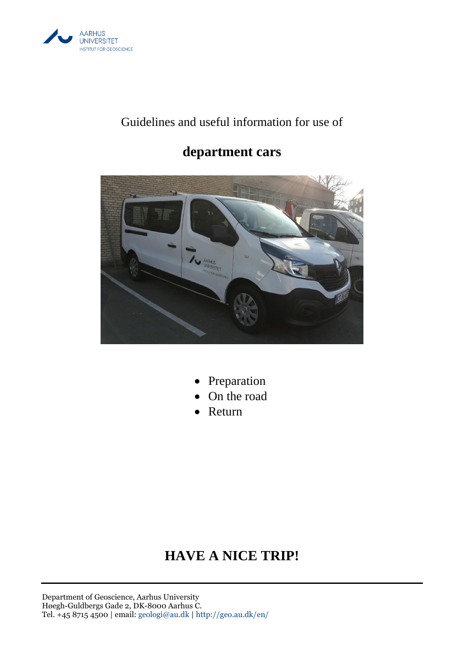

# Guidelines and useful information for use of

# **department cars**



- Preparation
- On the road
- Return

# **HAVE A NICE TRIP!**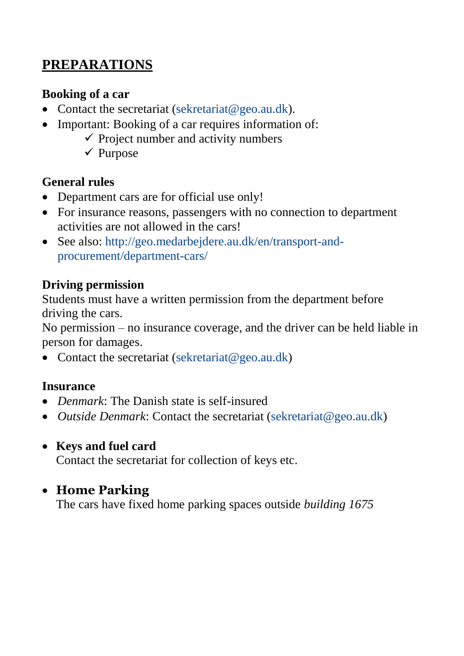# **PREPARATIONS**

#### **Booking of a car**

- Contact the secretariat [\(sekretariat@geo.au.dk\)](mailto:sekretariat@geo.au.dk).
- Important: Booking of a car requires information of:
	- $\checkmark$  Project number and activity numbers
	- $\checkmark$  Purpose

### **General rules**

- Department cars are for official use only!
- For insurance reasons, passengers with no connection to department activities are not allowed in the cars!
- See also: [http://geo.medarbejdere.au.dk/en/transport-and](http://geo.medarbejdere.au.dk/en/transport-and-procurement/department-cars/)[procurement/department-cars/](http://geo.medarbejdere.au.dk/en/transport-and-procurement/department-cars/)

### **Driving permission**

Students must have a written permission from the department before driving the cars.

No permission – no insurance coverage, and the driver can be held liable in person for damages.

• Contact the secretariat [\(sekretariat@geo.au.dk\)](mailto:sekretariat@geo.au.dk)

#### **Insurance**

- *Denmark*: The Danish state is self-insured
- *Outside Denmark*: Contact the secretariat [\(sekretariat@geo.au.dk\)](mailto:sekretariat@geo.au.dk)

## **Keys and fuel card**

Contact the secretariat for collection of keys etc.

# **Home Parking**

The cars have fixed home parking spaces outside *building 1675*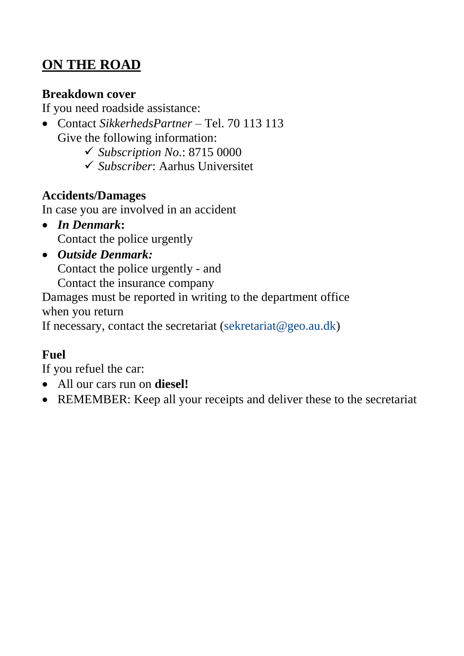# **ON THE ROAD**

#### **Breakdown cover**

If you need roadside assistance:

 Contact *SikkerhedsPartner* – Tel. 70 113 113 Give the following information:

*Subscription No.*: 8715 0000

*Subscriber*: Aarhus Universitet

## **Accidents/Damages**

In case you are involved in an accident

- *In Denmark***:** Contact the police urgently
- *Outside Denmark:* Contact the police urgently - and Contact the insurance company

Damages must be reported in writing to the department office when you return

If necessary, contact the secretariat (sekretariat  $@geo.au.dk$ )

# **Fuel**

If you refuel the car:

- All our cars run on **diesel!**
- REMEMBER: Keep all your receipts and deliver these to the secretariat